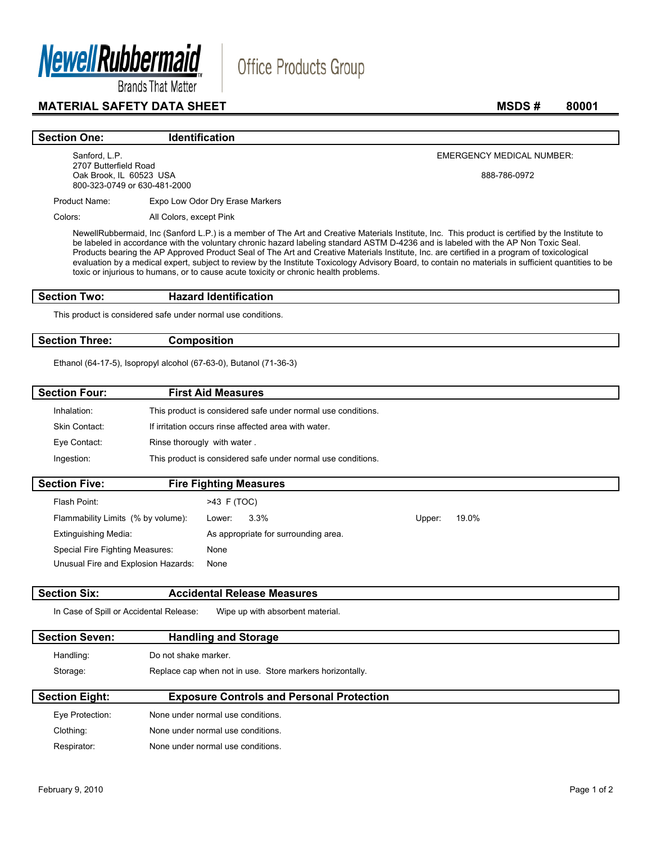

## **MATERIAL SAFETY DATA SHEET** MSDS # 80001

#### **Section One: Identification**

Sanford, L.P. 2707 Butterfield Road Oak Brook, IL 60523 USA 800-323-0749 or 630-481-2000 EMERGENCY MEDICAL NUMBER:

888-786-0972

Product Name: Expo Low Odor Dry Erase Markers

Colors: All Colors, except Pink

NewellRubbermaid, Inc (Sanford L.P.) is a member of The Art and Creative Materials Institute, Inc. This product is certified by the Institute to be labeled in accordance with the voluntary chronic hazard labeling standard ASTM D-4236 and is labeled with the AP Non Toxic Seal. Products bearing the AP Approved Product Seal of The Art and Creative Materials Institute, Inc. are certified in a program of toxicological evaluation by a medical expert, subject to review by the Institute Toxicology Advisory Board, to contain no materials in sufficient quantities to be toxic or injurious to humans, or to cause acute toxicity or chronic health problems.

Office Products Group

### **Section Two: Hazard Identification**

This product is considered safe under normal use conditions.

### **Section Three: Composition**

Ethanol (64-17-5), Isopropyl alcohol (67-63-0), Butanol (71-36-3)

| <b>Section Four:</b> | <b>First Aid Measures</b>                                    |  |
|----------------------|--------------------------------------------------------------|--|
| Inhalation:          | This product is considered safe under normal use conditions. |  |
| Skin Contact:        | If irritation occurs rinse affected area with water.         |  |
| Eye Contact:         | Rinse thorougly with water.                                  |  |
| Ingestion:           | This product is considered safe under normal use conditions. |  |
| <b>Section Five:</b> | <b>Fire Fighting Measures</b>                                |  |
| Flash Point:         | >43 F (TOC)                                                  |  |

| Flash Point:                        | $>43$ F (TOC)                        |        |       |
|-------------------------------------|--------------------------------------|--------|-------|
| Flammability Limits (% by volume):  | $3.3\%$<br>Lower:                    | Upper: | 19.0% |
| <b>Extinguishing Media:</b>         | As appropriate for surrounding area. |        |       |
| Special Fire Fighting Measures:     | None                                 |        |       |
| Unusual Fire and Explosion Hazards: | None                                 |        |       |
|                                     |                                      |        |       |

#### **Section Six: Accidental Release Measures**

In Case of Spill or Accidental Release: Wipe up with absorbent material.

| <b>Section Seven:</b> | <b>Handling and Storage</b>                              |
|-----------------------|----------------------------------------------------------|
| Handling:             | Do not shake marker.                                     |
| Storage:              | Replace cap when not in use. Store markers horizontally. |
| <b>Section Eight:</b> | <b>Exposure Controls and Personal Protection</b>         |
| Eye Protection:       | None under normal use conditions.                        |

| Clothing:   | None under normal use conditions. |
|-------------|-----------------------------------|
| Respirator: | None under normal use conditions. |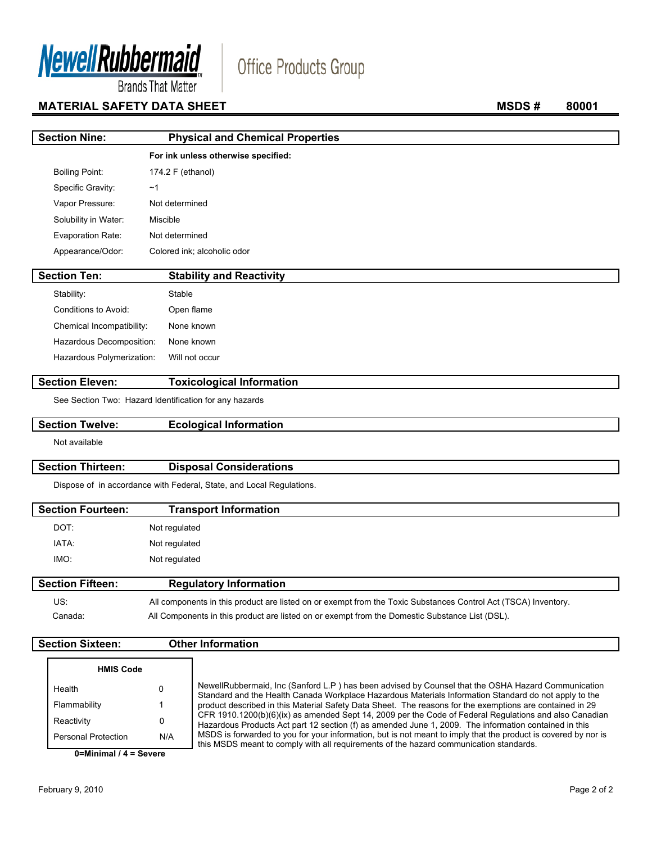

# Office Products Group

**Brands That Matter** 

# **MATERIAL SAFETY DATA SHEET** MATERIAL SAFETY DATA SHEET

| <b>Section Nine:</b>      | <b>Physical and Chemical Properties</b>                |
|---------------------------|--------------------------------------------------------|
|                           | For ink unless otherwise specified:                    |
| <b>Boiling Point:</b>     | 174.2 F (ethanol)                                      |
| Specific Gravity:         | ~1                                                     |
| Vapor Pressure:           | Not determined                                         |
| Solubility in Water:      | Miscible                                               |
| Evaporation Rate:         | Not determined                                         |
| Appearance/Odor:          | Colored ink; alcoholic odor                            |
| <b>Section Ten:</b>       | <b>Stability and Reactivity</b>                        |
|                           |                                                        |
| Stability:                | Stable                                                 |
| Conditions to Avoid:      | Open flame                                             |
| Chemical Incompatibility: | None known                                             |
| Hazardous Decomposition:  | None known                                             |
| Hazardous Polymerization: | Will not occur                                         |
| <b>Section Eleven:</b>    | <b>Toxicological Information</b>                       |
|                           | See Section Two: Hazard Identification for any hazards |

### **Section Twelve: Ecological Information**

Not available

### **Section Thirteen: Disposal Considerations**

Dispose of in accordance with Federal, State, and Local Regulations.

| <b>Section Fourteen:</b> | <b>Transport Information</b>  |  |
|--------------------------|-------------------------------|--|
| DOT:                     | Not regulated                 |  |
| IATA:                    | Not regulated                 |  |
| IMO:                     | Not regulated                 |  |
| <b>Section Fifteen:</b>  | <b>Regulatory Information</b> |  |

| US:     | All components in this product are listed on or exempt from the Toxic Substances Control Act (TSCA) Inventory. |
|---------|----------------------------------------------------------------------------------------------------------------|
| Canada: | All Components in this product are listed on or exempt from the Domestic Substance List (DSL).                 |

### **Section Sixteen: Other Information**

| <b>HMIS Code</b>    |     |                                                                                                                                                                                                                 |
|---------------------|-----|-----------------------------------------------------------------------------------------------------------------------------------------------------------------------------------------------------------------|
| Health              |     | NewellRubbermaid, Inc (Sanford L.P) has been advised by Counsel that the OSHA Hazard Communication<br>Standard and the Health Canada Workplace Hazardous Materials Information Standard do not apply to the     |
| Flammability        |     | product described in this Material Safety Data Sheet. The reasons for the exemptions are contained in 29                                                                                                        |
| Reactivity          |     | CFR 1910.1200(b)(6)(ix) as amended Sept 14, 2009 per the Code of Federal Regulations and also Canadian<br>Hazardous Products Act part 12 section (f) as amended June 1, 2009. The information contained in this |
| Personal Protection | N/A | MSDS is forwarded to you for your information, but is not meant to imply that the product is covered by nor is<br>this MSDS meant to comply with all requirements of the hazard communication standards.        |

**0=Minimal / 4 = Severe**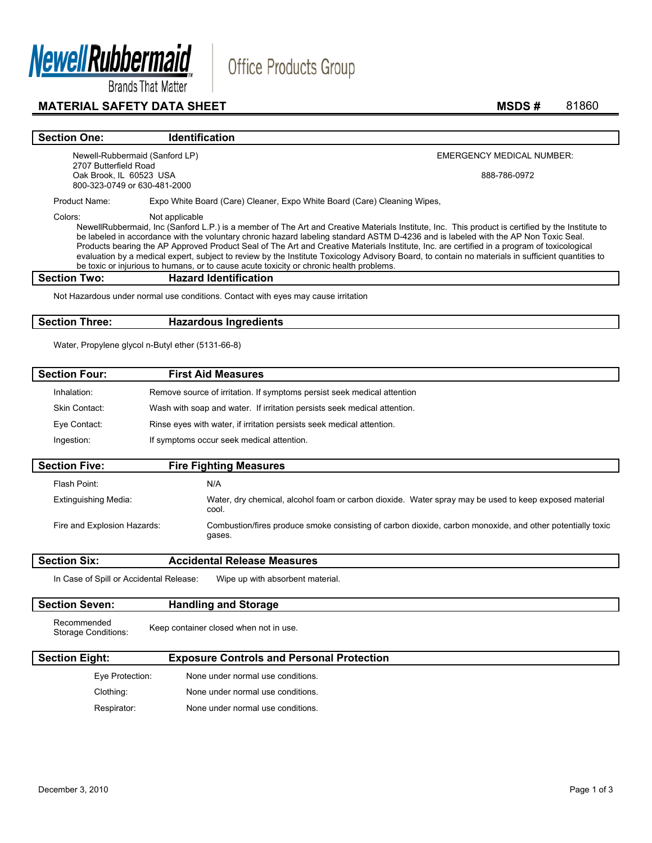

# **MATERIAL SAFETY DATA SHEET** MATERIAL SAFETY DATA SHEET

# **Section One:** Identification Newell-Rubbermaid (Sanford LP)

EMERGENCY MEDICAL NUMBER:

888-786-0972

Product Name: Expo White Board (Care) Cleaner, Expo White Board (Care) Cleaning Wipes,

2707 Butterfield Road Oak Brook, IL 60523 USA 800-323-0749 or 630-481-2000

Colors: Not applicable

NewellRubbermaid, Inc (Sanford L.P.) is a member of The Art and Creative Materials Institute, Inc. This product is certified by the Institute to be labeled in accordance with the voluntary chronic hazard labeling standard ASTM D-4236 and is labeled with the AP Non Toxic Seal. Products bearing the AP Approved Product Seal of The Art and Creative Materials Institute, Inc. are certified in a program of toxicological evaluation by a medical expert, subject to review by the Institute Toxicology Advisory Board, to contain no materials in sufficient quantities to be toxic or injurious to humans, or to cause acute toxicity or chronic health problems.

**Office Products Group** 

#### **Section Two: Hazard Identification**

Not Hazardous under normal use conditions. Contact with eyes may cause irritation

#### **Section Three: Hazardous Ingredients**

Water, Propylene glycol n-Butyl ether (5131-66-8)

| <b>Section Four:</b>                    | <b>First Aid Measures</b>                                                                                           |
|-----------------------------------------|---------------------------------------------------------------------------------------------------------------------|
| Inhalation:                             | Remove source of irritation. If symptoms persist seek medical attention                                             |
| <b>Skin Contact:</b>                    | Wash with soap and water. If irritation persists seek medical attention.                                            |
| Eye Contact:                            | Rinse eyes with water, if irritation persists seek medical attention.                                               |
| Ingestion:                              | If symptoms occur seek medical attention.                                                                           |
| <b>Section Five:</b>                    | <b>Fire Fighting Measures</b>                                                                                       |
| Flash Point:                            | N/A                                                                                                                 |
| <b>Extinguishing Media:</b>             | Water, dry chemical, alcohol foam or carbon dioxide. Water spray may be used to keep exposed material<br>cool.      |
| Fire and Explosion Hazards:             | Combustion/fires produce smoke consisting of carbon dioxide, carbon monoxide, and other potentially toxic<br>gases. |
| <b>Section Six:</b>                     | <b>Accidental Release Measures</b>                                                                                  |
| In Case of Spill or Accidental Release: | Wipe up with absorbent material.                                                                                    |
| <b>Section Seven:</b>                   | <b>Handling and Storage</b>                                                                                         |
| Recommended<br>Storage Conditions:      | Keep container closed when not in use.                                                                              |
| <b>Section Eight:</b>                   | <b>Exposure Controls and Personal Protection</b>                                                                    |

| Eye Protection: | None under normal use conditions. |
|-----------------|-----------------------------------|
| Clothing:       | None under normal use conditions. |
| Respirator:     | None under normal use conditions. |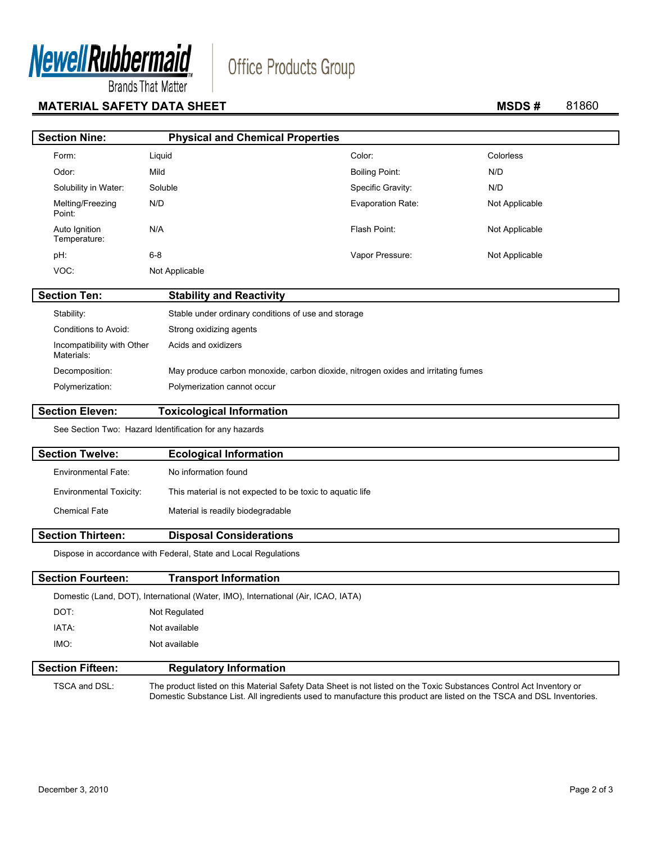

# **MATERIAL SAFETY DATA SHEET** MATERIAL SAFETY DATA SHEET

# Office Products Group

| <b>Section Nine:</b>                     | <b>Physical and Chemical Properties</b>             |                                                                                   |                |
|------------------------------------------|-----------------------------------------------------|-----------------------------------------------------------------------------------|----------------|
| Form:                                    | Liquid                                              | Color:                                                                            | Colorless      |
| Odor:                                    | Mild                                                | <b>Boiling Point:</b>                                                             | N/D            |
| Solubility in Water:                     | Soluble                                             | Specific Gravity:                                                                 | N/D            |
| Melting/Freezing<br>Point:               | N/D                                                 | Evaporation Rate:                                                                 | Not Applicable |
| Auto Ignition<br>Temperature:            | N/A                                                 | Flash Point:                                                                      | Not Applicable |
| pH:                                      | $6 - 8$                                             | Vapor Pressure:                                                                   | Not Applicable |
| VOC:                                     | Not Applicable                                      |                                                                                   |                |
| <b>Section Ten:</b>                      | <b>Stability and Reactivity</b>                     |                                                                                   |                |
| Stability:                               | Stable under ordinary conditions of use and storage |                                                                                   |                |
| Conditions to Avoid:                     | Strong oxidizing agents                             |                                                                                   |                |
| Incompatibility with Other<br>Materials: | Acids and oxidizers                                 |                                                                                   |                |
| Decomposition:                           |                                                     | May produce carbon monoxide, carbon dioxide, nitrogen oxides and irritating fumes |                |
| Polymerization:                          | Polymerization cannot occur                         |                                                                                   |                |
|                                          |                                                     |                                                                                   |                |

**Section Eleven: Toxicological Information** 

See Section Two: Hazard Identification for any hazards

| <b>Section Twelve:</b>         | <b>Ecological Information</b>                             |
|--------------------------------|-----------------------------------------------------------|
| Environmental Fate:            | No information found                                      |
| <b>Environmental Toxicity:</b> | This material is not expected to be toxic to aguatic life |
| Chemical Fate                  | Material is readily biodegradable                         |
|                                |                                                           |

#### **Section Thirteen: Disposal Considerations**

Dispose in accordance with Federal, State and Local Regulations

| <b>Section Fourteen:</b>                                                          | <b>Transport Information</b>  |  |  |  |
|-----------------------------------------------------------------------------------|-------------------------------|--|--|--|
| Domestic (Land, DOT), International (Water, IMO), International (Air, ICAO, IATA) |                               |  |  |  |
| DOT:                                                                              | Not Regulated                 |  |  |  |
| IATA:                                                                             | Not available                 |  |  |  |
| IMO:                                                                              | Not available                 |  |  |  |
| <b>Section Fifteen:</b>                                                           | <b>Regulatory Information</b> |  |  |  |

 TSCA and DSL: The product listed on this Material Safety Data Sheet is not listed on the Toxic Substances Control Act Inventory or Domestic Substance List. All ingredients used to manufacture this product are listed on the TSCA and DSL Inventories.